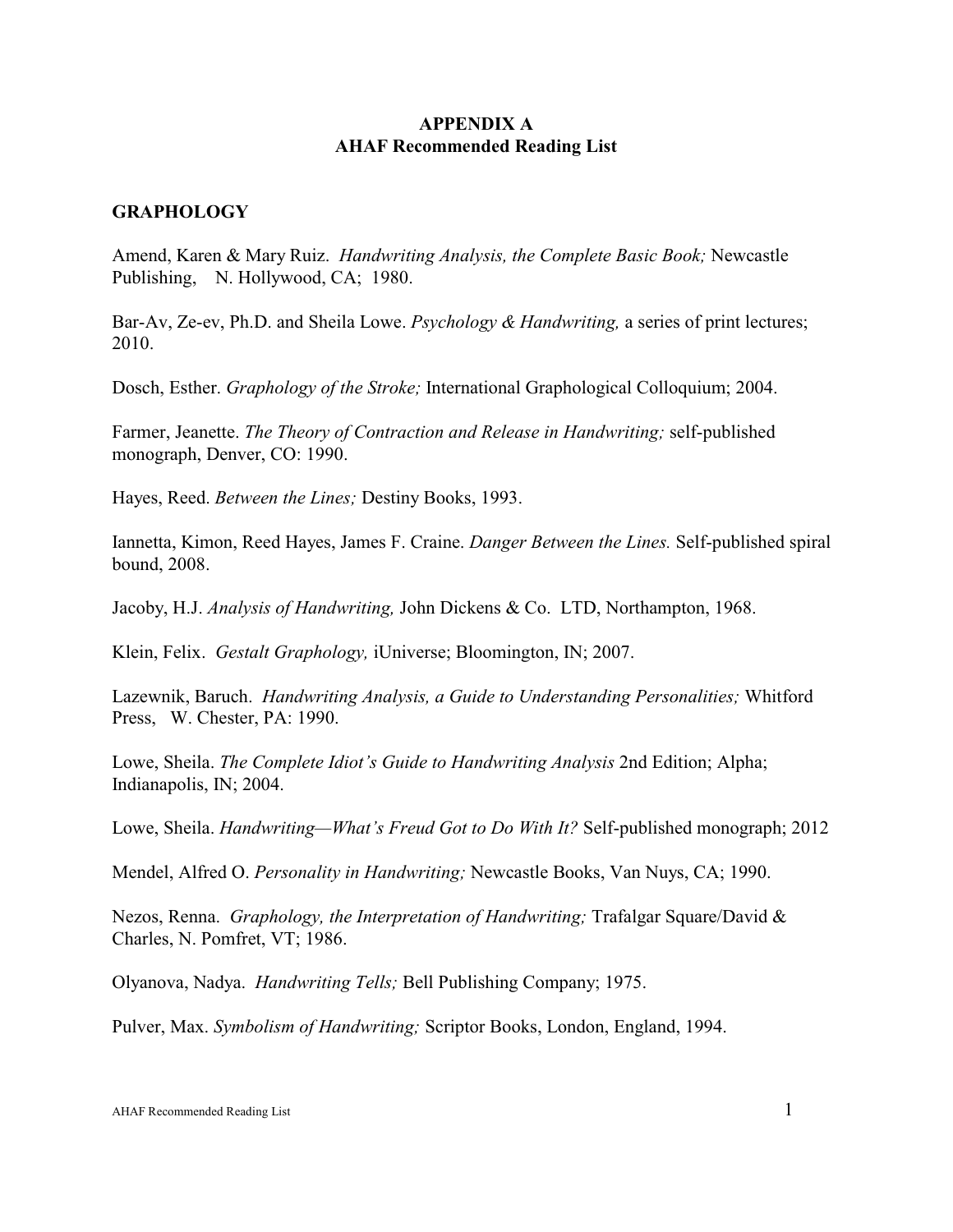# **APPENDIX A AHAF Recommended Reading List**

## **GRAPHOLOGY**

Amend, Karen & Mary Ruiz. *Handwriting Analysis, the Complete Basic Book;* Newcastle Publishing, N. Hollywood, CA; 1980.

Bar-Av, Ze-ev, Ph.D. and Sheila Lowe. *Psychology & Handwriting,* a series of print lectures; 2010.

Dosch, Esther. *Graphology of the Stroke;* International Graphological Colloquium; 2004.

Farmer, Jeanette. *The Theory of Contraction and Release in Handwriting;* self-published monograph, Denver, CO: 1990.

Hayes, Reed. *Between the Lines;* Destiny Books, 1993.

Iannetta, Kimon, Reed Hayes, James F. Craine. *Danger Between the Lines.* Self-published spiral bound, 2008.

Jacoby, H.J. *Analysis of Handwriting,* John Dickens & Co. LTD, Northampton, 1968.

Klein, Felix. *Gestalt Graphology,* iUniverse; Bloomington, IN; 2007.

Lazewnik, Baruch. *Handwriting Analysis, a Guide to Understanding Personalities;* Whitford Press, W. Chester, PA: 1990.

Lowe, Sheila. *The Complete Idiot's Guide to Handwriting Analysis* 2nd Edition; Alpha; Indianapolis, IN; 2004.

Lowe, Sheila. *Handwriting—What's Freud Got to Do With It?* Self-published monograph; 2012

Mendel, Alfred O. *Personality in Handwriting;* Newcastle Books, Van Nuys, CA; 1990.

Nezos, Renna. *Graphology, the Interpretation of Handwriting;* Trafalgar Square/David & Charles, N. Pomfret, VT; 1986.

Olyanova, Nadya. *Handwriting Tells;* Bell Publishing Company; 1975.

Pulver, Max. *Symbolism of Handwriting;* Scriptor Books, London, England, 1994.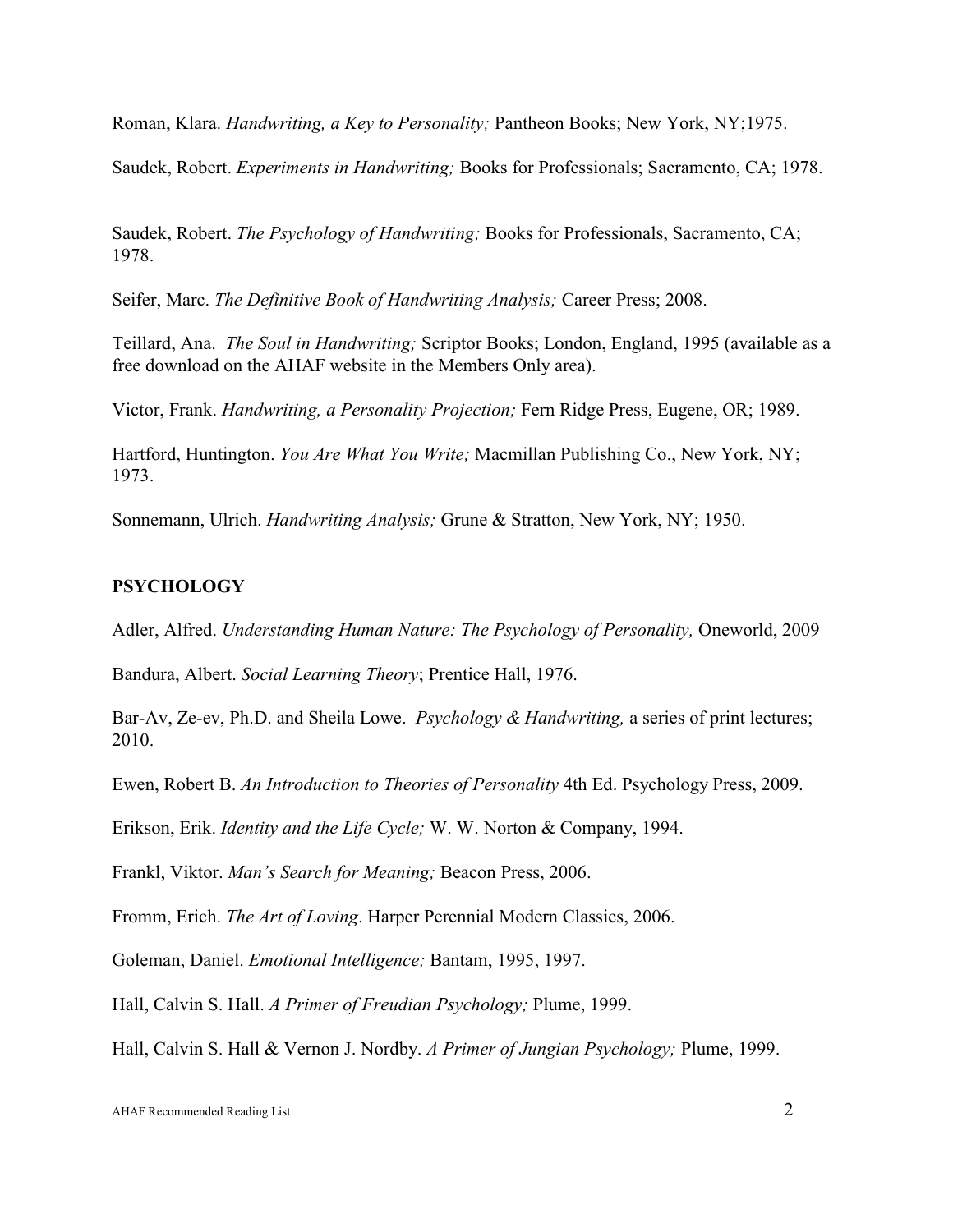Roman, Klara. *Handwriting, a Key to Personality;* Pantheon Books; New York, NY;1975.

Saudek, Robert. *Experiments in Handwriting;* Books for Professionals; Sacramento, CA; 1978.

Saudek, Robert. *The Psychology of Handwriting;* Books for Professionals, Sacramento, CA; 1978.

Seifer, Marc. *The Definitive Book of Handwriting Analysis;* Career Press; 2008.

Teillard, Ana. *The Soul in Handwriting;* Scriptor Books; London, England, 1995 (available as a free download on the AHAF website in the Members Only area).

Victor, Frank. *Handwriting, a Personality Projection;* Fern Ridge Press, Eugene, OR; 1989.

Hartford, Huntington. *You Are What You Write;* Macmillan Publishing Co., New York, NY; 1973.

Sonnemann, Ulrich. *Handwriting Analysis;* Grune & Stratton, New York, NY; 1950.

#### **PSYCHOLOGY**

Adler, Alfred. *Understanding Human Nature: The Psychology of Personality,* Oneworld, 2009

Bandura, Albert. *Social Learning Theory*; Prentice Hall, 1976.

Bar-Av, Ze-ev, Ph.D. and Sheila Lowe. *Psychology & Handwriting,* a series of print lectures; 2010.

Ewen, Robert B. *An Introduction to Theories of Personality* 4th Ed. Psychology Press, 2009.

Erikson, Erik. *Identity and the Life Cycle;* W. W. Norton & Company, 1994.

Frankl, Viktor. *Man's Search for Meaning;* Beacon Press, 2006.

Fromm, Erich. *The Art of Loving*. Harper Perennial Modern Classics, 2006.

Goleman, Daniel. *Emotional Intelligence;* Bantam, 1995, 1997.

Hall, Calvin S. Hall. *A Primer of Freudian Psychology;* Plume, 1999.

Hall, Calvin S. Hall & Vernon J. Nordby. *A Primer of Jungian Psychology;* Plume, 1999.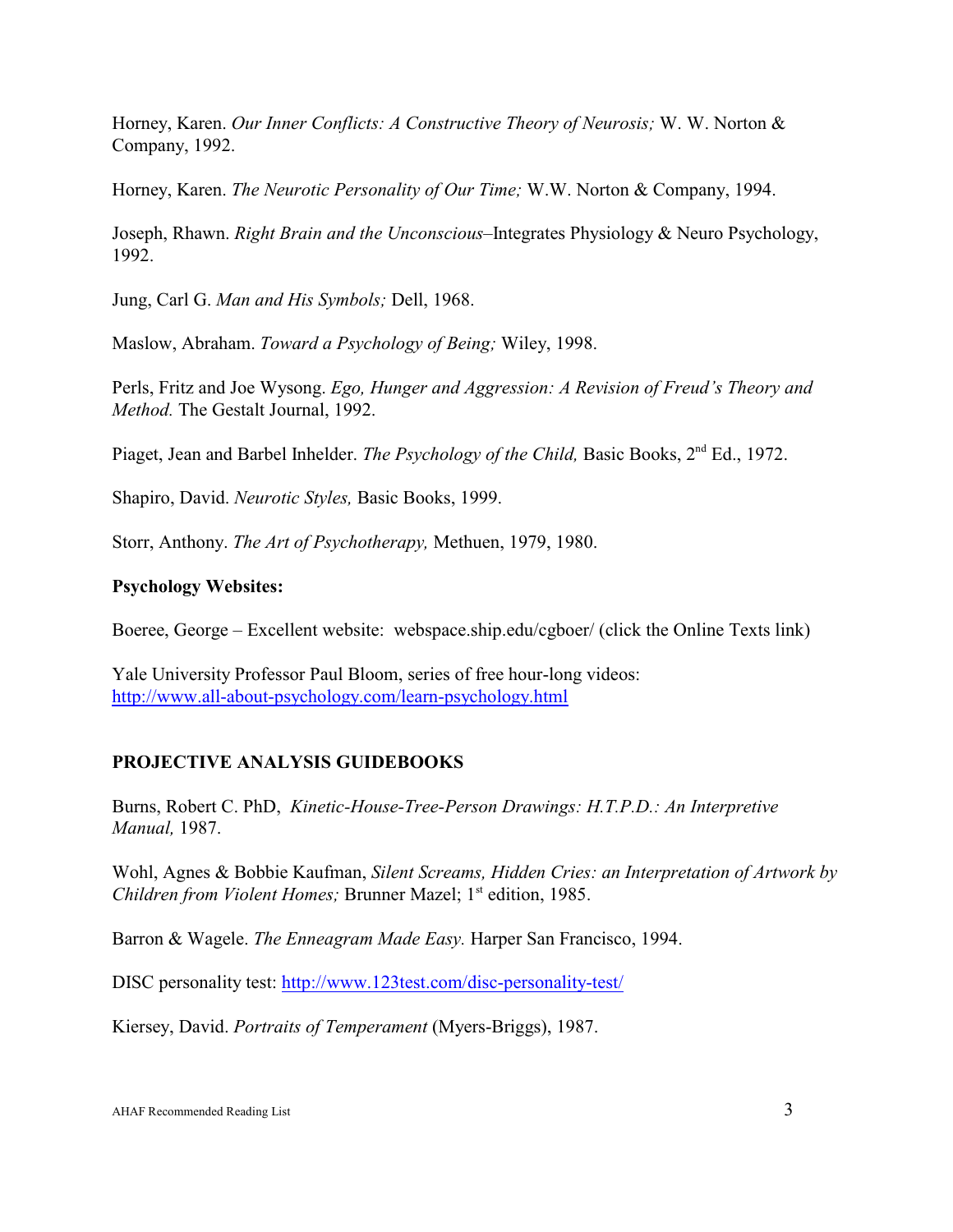Horney, Karen. *Our Inner Conflicts: A Constructive Theory of Neurosis;* W. W. Norton & Company, 1992.

Horney, Karen. *The Neurotic Personality of Our Time;* W.W. Norton & Company, 1994.

Joseph, Rhawn. *Right Brain and the Unconscious*–Integrates Physiology & Neuro Psychology, 1992.

Jung, Carl G. *Man and His Symbols;* Dell, 1968.

Maslow, Abraham. *Toward a Psychology of Being;* Wiley, 1998.

Perls, Fritz and Joe Wysong. *Ego, Hunger and Aggression: A Revision of Freud's Theory and Method.* The Gestalt Journal, 1992.

Piaget, Jean and Barbel Inhelder. *The Psychology of the Child*, Basic Books, 2<sup>nd</sup> Ed., 1972.

Shapiro, David. *Neurotic Styles,* Basic Books, 1999.

Storr, Anthony. *The Art of Psychotherapy,* Methuen, 1979, 1980.

### **Psychology Websites:**

Boeree, George – Excellent website: webspace.ship.edu/cgboer/ (click the Online Texts link)

Yale University Professor Paul Bloom, series of free hour-long videos: <http://www.all-about-psychology.com/learn-psychology.html>

### **PROJECTIVE ANALYSIS GUIDEBOOKS**

Burns, Robert C. PhD, *Kinetic-House-Tree-Person Drawings: H.T.P.D.: An Interpretive Manual,* 1987.

Wohl, Agnes & Bobbie Kaufman, *Silent Screams, Hidden Cries: an Interpretation of Artwork by Children from Violent Homes; Brunner Mazel; 1<sup>st</sup> edition, 1985.* 

Barron & Wagele. *The Enneagram Made Easy.* Harper San Francisco, 1994.

DISC personality test:<http://www.123test.com/disc-personality-test/>

Kiersey, David. *Portraits of Temperament* (Myers-Briggs), 1987.